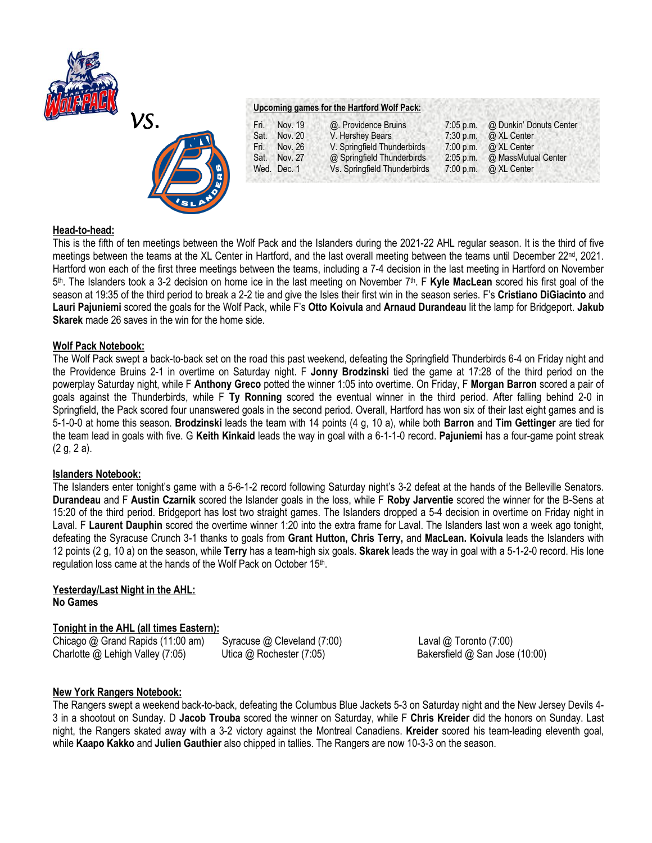



## **Upcoming games for the Hartford Wolf Pack:**

| Fri. | Nov. 19     | @. Providence Bruins         | $7:05$ p.m. | @ Dunkin' Donuts Center |
|------|-------------|------------------------------|-------------|-------------------------|
| Sat. | Nov. 20     | V. Hershey Bears             | 7:30 p.m.   | @ XL Center             |
| Fri. | Nov. 26     | V. Springfield Thunderbirds  | $7:00$ p.m. | @ XL Center             |
| Sat. | Nov. 27     | @ Springfield Thunderbirds   | $2:05$ p.m. | @ MassMutual Center     |
|      | Wed. Dec. 1 | Vs. Springfield Thunderbirds | 7:00 p.m.   | @ XL Center             |
|      |             |                              |             |                         |

# **Head-to-head:**

This is the fifth of ten meetings between the Wolf Pack and the Islanders during the 2021-22 AHL regular season. It is the third of five meetings between the teams at the XL Center in Hartford, and the last overall meeting between the teams until December 22<sup>nd</sup>, 2021. Hartford won each of the first three meetings between the teams, including a 7-4 decision in the last meeting in Hartford on November 5<sup>th</sup>. The Islanders took a 3-2 decision on home ice in the last meeting on November 7<sup>th</sup>. F **Kyle MacLean** scored his first goal of the season at 19:35 of the third period to break a 2-2 tie and give the Isles their first win in the season series. F's **Cristiano DiGiacinto** and **Lauri Pajuniemi** scored the goals for the Wolf Pack, while F's **Otto Koivula** and **Arnaud Durandeau** lit the lamp for Bridgeport. **Jakub Skarek** made 26 saves in the win for the home side.

## **Wolf Pack Notebook:**

The Wolf Pack swept a back-to-back set on the road this past weekend, defeating the Springfield Thunderbirds 6-4 on Friday night and the Providence Bruins 2-1 in overtime on Saturday night. F **Jonny Brodzinski** tied the game at 17:28 of the third period on the powerplay Saturday night, while F **Anthony Greco** potted the winner 1:05 into overtime. On Friday, F **Morgan Barron** scored a pair of goals against the Thunderbirds, while F **Ty Ronning** scored the eventual winner in the third period. After falling behind 2-0 in Springfield, the Pack scored four unanswered goals in the second period. Overall, Hartford has won six of their last eight games and is 5-1-0-0 at home this season. **Brodzinski** leads the team with 14 points (4 g, 10 a), while both **Barron** and **Tim Gettinger** are tied for the team lead in goals with five. G **Keith Kinkaid** leads the way in goal with a 6-1-1-0 record. **Pajuniemi** has a four-game point streak (2 g, 2 a).

# **Islanders Notebook:**

The Islanders enter tonight's game with a 5-6-1-2 record following Saturday night's 3-2 defeat at the hands of the Belleville Senators. **Durandeau** and F **Austin Czarnik** scored the Islander goals in the loss, while F **Roby Jarventie** scored the winner for the B-Sens at 15:20 of the third period. Bridgeport has lost two straight games. The Islanders dropped a 5-4 decision in overtime on Friday night in Laval. F **Laurent Dauphin** scored the overtime winner 1:20 into the extra frame for Laval. The Islanders last won a week ago tonight, defeating the Syracuse Crunch 3-1 thanks to goals from **Grant Hutton, Chris Terry,** and **MacLean. Koivula** leads the Islanders with 12 points (2 g, 10 a) on the season, while **Terry** has a team-high six goals. **Skarek** leads the way in goal with a 5-1-2-0 record. His lone regulation loss came at the hands of the Wolf Pack on October 15th.

#### **Yesterday/Last Night in the AHL: No Games**

# **Tonight in the AHL (all times Eastern):**

Chicago @ Grand Rapids (11:00 am)Syracuse @ Cleveland (7:00) Laval @ Toronto (7:00) Charlotte @ Lehigh Valley (7:05)Utica @ Rochester (7:05) Bakersfield @ San Jose (10:00)

# **New York Rangers Notebook:**

The Rangers swept a weekend back-to-back, defeating the Columbus Blue Jackets 5-3 on Saturday night and the New Jersey Devils 4- 3 in a shootout on Sunday. D **Jacob Trouba** scored the winner on Saturday, while F **Chris Kreider** did the honors on Sunday. Last night, the Rangers skated away with a 3-2 victory against the Montreal Canadiens. **Kreider** scored his team-leading eleventh goal, while **Kaapo Kakko** and **Julien Gauthier** also chipped in tallies. The Rangers are now 10-3-3 on the season.